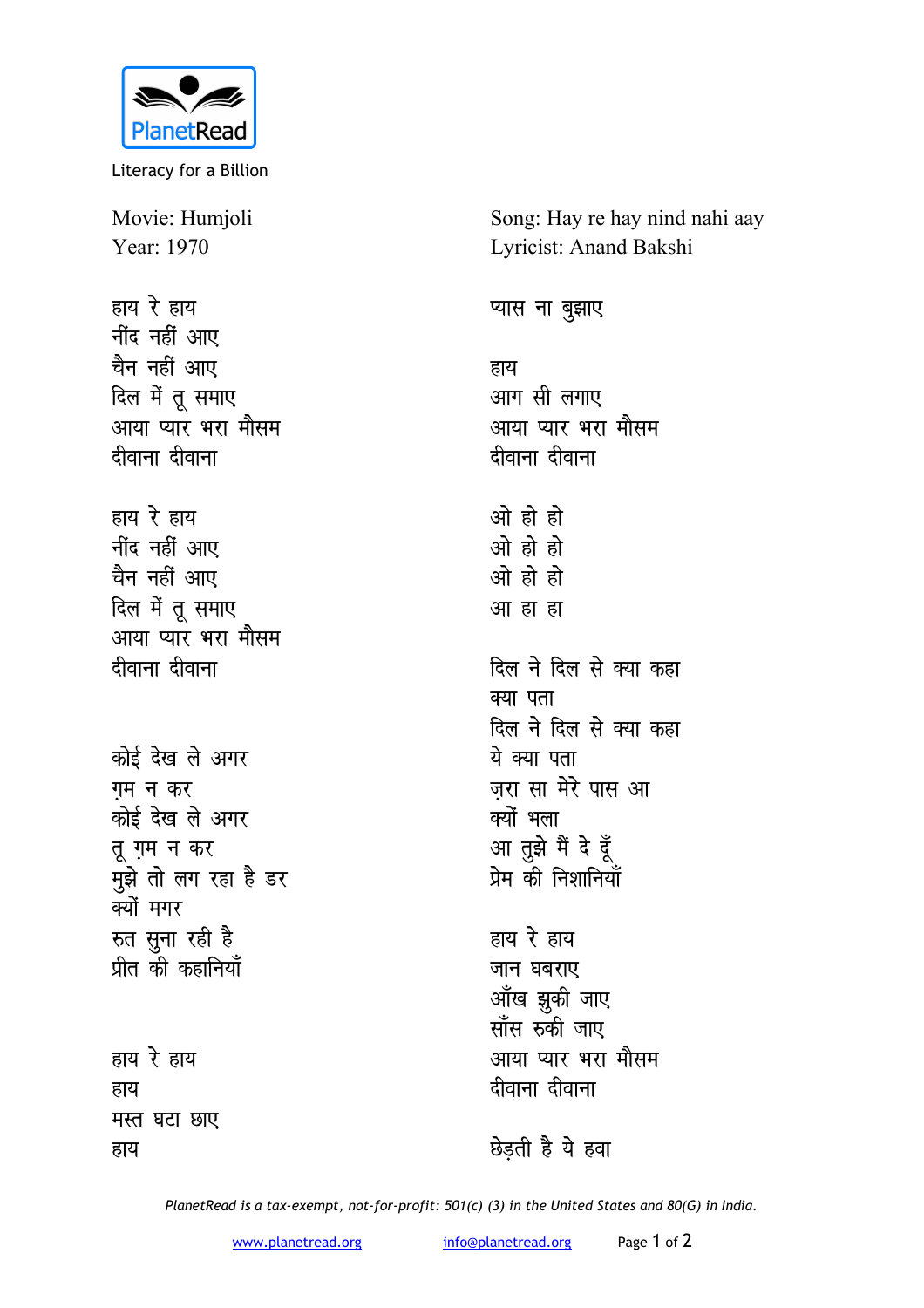

Literacy for a Billion

Movie: Humjoli Year: 1970

हाय रे हाय <u>नींद नहीं आए</u> चैन नहीं आए दिल में तू समाए <u>आया प्यार भरा मौसम</u> *दीवाना* दीवाना

- हाय रे हाय <u>नींद नहीं आए</u> चैन नहीं आए दिल में तू समाए आया प्यार भरा मौसम *दीवाना दीवाना*
- <u>कोई देख ले अगर</u> **गम** न कर <u>कोई देख ले अगर</u> **तू ग़म न कर** <u>मु</u>झे तो लग रहा है डर क्यों मगर **स्त सुना रही है** <u>पीत की कहानियाँ</u>

हाय रे हाय हाय **मस्त घटा छाए** हाय

Song: Hay re hay nind nahi aay Lyricist: Anand Bakshi

प्यास ना बुझाए

हाय आग सी लगाए आया प्यार भरा मौसम *दीवाना* दीवाना

<u>ओ</u> हो हो <u>ओ हो हो</u> <u>ओ हो हो</u> <u>आ</u> हा हा

<u>दिल ने दिल से क्या कहा</u> क्या पता दिल ने दिल से क्या क**हा** ये क्या पता जरा सा मेरे पास आ क्यों भला आ तुझे मैं दे दूँ .<br>प्रेम की निशानियाँ

हाय रे हाय जान घबराए <u>आँख झ</u>ुकी जाए **सॉस रुकी जाए** आया प्यार भरा मौसम **दीवाना** दीवाना

**B** उद्दती है ये हवा

*PlanetRead is a tax-exempt, not-for-profit: 501(c) (3) in the United States and 80(G) in India.*